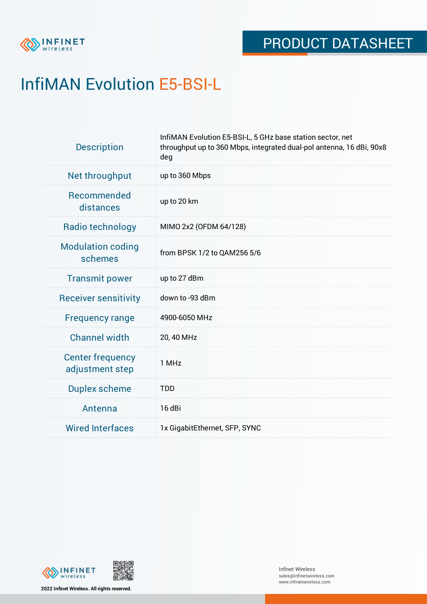

# InfiMAN Evolution E5-BSI-L

| <b>Description</b>                         | InfiMAN Evolution E5-BSI-L, 5 GHz base station sector, net<br>throughput up to 360 Mbps, integrated dual-pol antenna, 16 dBi, 90x8<br>deg |
|--------------------------------------------|-------------------------------------------------------------------------------------------------------------------------------------------|
| Net throughput                             | up to 360 Mbps                                                                                                                            |
| Recommended<br>distances                   | up to 20 km                                                                                                                               |
| Radio technology                           | MIMO 2x2 (OFDM 64/128)                                                                                                                    |
| <b>Modulation coding</b><br>schemes        | from BPSK 1/2 to QAM256 5/6                                                                                                               |
| <b>Transmit power</b>                      | up to 27 dBm                                                                                                                              |
| <b>Receiver sensitivity</b>                | down to -93 dBm                                                                                                                           |
| <b>Frequency range</b>                     | 4900-6050 MHz                                                                                                                             |
| <b>Channel width</b>                       | 20, 40 MHz                                                                                                                                |
| <b>Center frequency</b><br>adjustment step | 1 MHz                                                                                                                                     |
| <b>Duplex scheme</b>                       | <b>TDD</b>                                                                                                                                |
| Antenna                                    | 16 dBi                                                                                                                                    |
| <b>Wired Interfaces</b>                    | 1x GigabitEthernet, SFP, SYNC                                                                                                             |



**2022 Infinet Wireless. All rights reserved.**

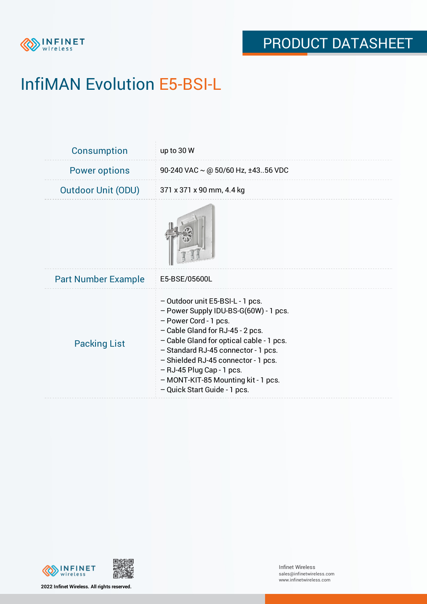

# InfiMAN Evolution E5-BSI-L

| Consumption                | up to 30 W                                                                                                                                                                                                                                                                                                                                                           |
|----------------------------|----------------------------------------------------------------------------------------------------------------------------------------------------------------------------------------------------------------------------------------------------------------------------------------------------------------------------------------------------------------------|
| <b>Power options</b>       | 90-240 VAC ~ @ 50/60 Hz, ±4356 VDC                                                                                                                                                                                                                                                                                                                                   |
| <b>Outdoor Unit (ODU)</b>  | 371 x 371 x 90 mm, 4.4 kg                                                                                                                                                                                                                                                                                                                                            |
|                            |                                                                                                                                                                                                                                                                                                                                                                      |
| <b>Part Number Example</b> | E5-BSE/05600L                                                                                                                                                                                                                                                                                                                                                        |
| <b>Packing List</b>        | - Outdoor unit E5-BSI-L - 1 pcs.<br>- Power Supply IDU-BS-G(60W) - 1 pcs.<br>- Power Cord - 1 pcs.<br>- Cable Gland for RJ-45 - 2 pcs.<br>- Cable Gland for optical cable - 1 pcs.<br>- Standard RJ-45 connector - 1 pcs.<br>- Shielded RJ-45 connector - 1 pcs.<br>- RJ-45 Plug Cap - 1 pcs.<br>- MONT-KIT-85 Mounting kit - 1 pcs.<br>- Quick Start Guide - 1 pcs. |



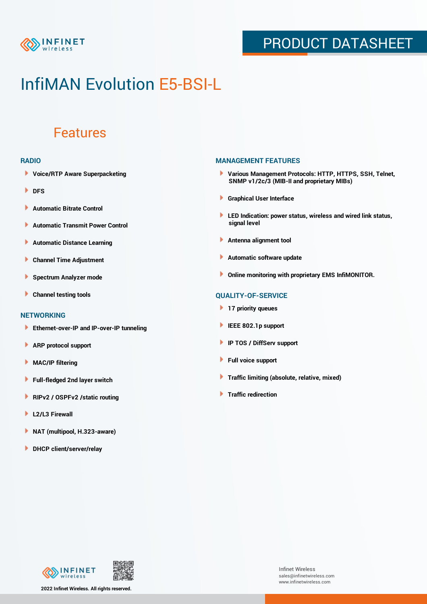

## PRODUCT DATASHEET

## InfiMAN Evolution E5-BSI-L

### Features

### **RADIO**

- **Voice/RTP Aware Superpacketing**
- **DFS**
- **Automatic Bitrate Control** Þ
- Þ **Automatic Transmit Power Control**
- Þ **Automatic Distance Learning**
- Þ **Channel Time Adjustment**
- Þ **Spectrum Analyzer mode**
- Þ **Channel testing tools**

### **NETWORKING**

- **Ethernet-over-IP and IP-over-IP tunneling**
- Þ **ARP protocol support**
- **MAC/IP filtering** Þ
- **Full-fledged 2nd layer switch**
- Þ **RIPv2 / OSPFv2 /static routing**
- ٠ **L2/L3 Firewall**
- × **NAT (multipool, H.323-aware)**
- **DHCP client/server/relay**

### **MANAGEMENT FEATURES**

- **Various Management Protocols: HTTP, HTTPS, SSH, Telnet, SNMP v1/2c/3 (MIB-II and proprietary MIBs)**
- **Graphical User Interface**
- **LED Indication: power status, wireless and wired link status, signal level**
- **Antenna alignment tool**
- ٠ **Automatic software update**
- **Online monitoring with proprietary EMS InfiMONITOR.**

### **QUALITY-OF-SERVICE**

- **17 priority queues**
- **IEEE 802.1p support**
- **IP TOS / DiffServ support**
- ٠ **Full voice support**
- **Traffic limiting (absolute, relative, mixed)** ٠
- **Traffic redirection**